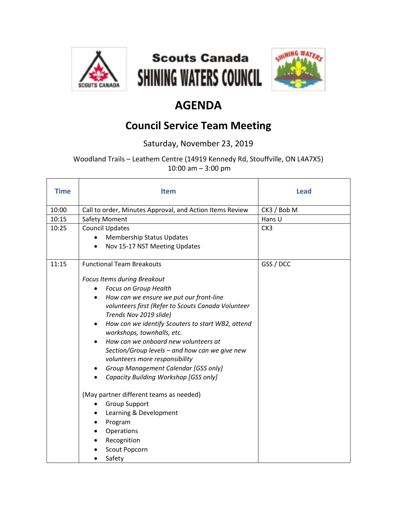





## **AGENDA**

## **Council Service Team Meeting**

Saturday, November 23, 2019

Woodland Trails – Leathem Centre (14919 Kennedy Rd, Stouffville, ON L4A7X5) 10:00 am – 3:00 pm

| <b>Time</b> | <b>Item</b>                                                                          | <b>Lead</b> |
|-------------|--------------------------------------------------------------------------------------|-------------|
| 10:00       | Call to order, Minutes Approval, and Action Items Review                             | CK3 / Bob M |
| 10:15       | <b>Safety Moment</b>                                                                 | Hans U      |
| 10:25       | <b>Council Updates</b>                                                               | CK3         |
|             | <b>Membership Status Updates</b>                                                     |             |
|             | Nov 15-17 NST Meeting Updates<br>$\bullet$                                           |             |
| 11:15       | <b>Functional Team Breakouts</b>                                                     | GSS / DCC   |
|             | Focus Items during Breakout                                                          |             |
|             | Focus on Group Health<br>$\bullet$                                                   |             |
|             | How can we ensure we put our front-line<br>$\bullet$                                 |             |
|             | volunteers first (Refer to Scouts Canada Volunteer                                   |             |
|             | Trends Nov 2019 slide)                                                               |             |
|             | How can we identify Scouters to start WB2, attend<br>٠<br>workshops, townhalls, etc. |             |
|             | How can we onboard new volunteers at<br>$\bullet$                                    |             |
|             | Section/Group levels - and how can we give new                                       |             |
|             | volunteers more responsibility                                                       |             |
|             | Group Management Calendar [GSS only]<br>$\bullet$                                    |             |
|             | Capacity Building Workshop [GSS only]                                                |             |
|             | (May partner different teams as needed)                                              |             |
|             | <b>Group Support</b>                                                                 |             |
|             | Learning & Development<br>٠                                                          |             |
|             | Program                                                                              |             |
|             | Operations                                                                           |             |
|             | Recognition                                                                          |             |
|             | Scout Popcorn                                                                        |             |
|             | Safety<br>٠                                                                          |             |